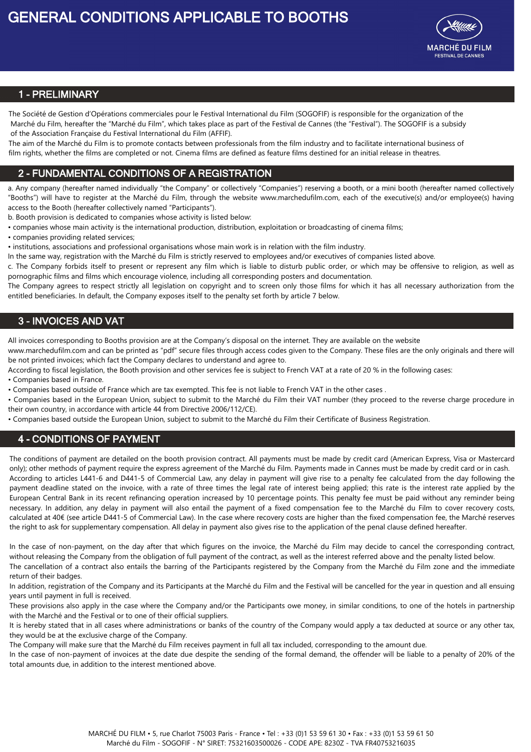

# **1 - PRELIMINARY**

The Société de Gestion d'Opérations commerciales pour le Festival International du Film (SOGOFIF) is responsible for the organization of the Marché du Film, hereafter the "Marché du Film", which takes place as part of the Festival de Cannes (the "Festival"). The SOGOFIF is a subsidy of the Association Française du Festival International du Film (AFFIF).

The aim of the Marché du Film is to promote contacts between professionals from the film industry and to facilitate international business of film rights, whether the films are completed or not. Cinema films are defined as feature films destined for an initial release in theatres.

## **2 - FUNDAMENTAL CONDITIONS OF A REGISTRATION**

a. Any company (hereafter named individually "the Company" or collectively "Companies") reserving a booth, or a mini booth (hereafter named collectively "Booths") will have to register at the Marché du Film, through the website www.marchedufilm.com, each of the executive(s) and/or employee(s) having access to the Booth (hereafter collectively named "Participants").

b. Booth provision is dedicated to companies whose activity is listed below:

- companies whose main activity is the international production, distribution, exploitation or broadcasting of cinema films;
- companies providing related services;

• institutions, associations and professional organisations whose main work is in relation with the film industry.

In the same way, registration with the Marché du Film is strictly reserved to employees and/or executives of companies listed above.

c. The Company forbids itself to present or represent any film which is liable to disturb public order, or which may be offensive to religion, as well as pornographic films and films which encourage violence, including all corresponding posters and documentation.

The Company agrees to respect strictly all legislation on copyright and to screen only those films for which it has all necessary authorization from the entitled beneficiaries. In default, the Company exposes itself to the penalty set forth by article 7 below.

## **3 - INVOICES AND VAT**

All invoices corresponding to Booths provision are at the Company's disposal on the internet. They are available on the website

www.marchedufilm.com and can be printed as "pdf" secure files through access codes given to the Company. These files are the only originals and there will be not printed invoices; which fact the Company declares to understand and agree to.

According to fiscal legislation, the Booth provision and other services fee is subject to French VAT at a rate of 20 % in the following cases:

• Companies based in France.

• Companies based outside of France which are tax exempted. This fee is not liable to French VAT in the other cases .

• Companies based in the European Union, subject to submit to the Marché du Film their VAT number (they proceed to the reverse charge procedure in their own country, in accordance with article 44 from Directive 2006/112/CE).

• Companies based outside the European Union, subject to submit to the Marché du Film their Certificate of Business Registration.

## **4 - CONDITIONS OF PAYMENT**

The conditions of payment are detailed on the booth provision contract. All payments must be made by credit card (American Express, Visa or Mastercard only); other methods of payment require the express agreement of the Marché du Film. Payments made in Cannes must be made by credit card or in cash. According to articles L441-6 and D441-5 of Commercial Law, any delay in payment will give rise to a penalty fee calculated from the day following the payment deadline stated on the invoice, with a rate of three times the legal rate of interest being applied; this rate is the interest rate applied by the European Central Bank in its recent refinancing operation increased by 10 percentage points. This penalty fee must be paid without any reminder being necessary. In addition, any delay in payment will also entail the payment of a fixed compensation fee to the Marché du Film to cover recovery costs, calculated at 40€ (see article D441-5 of Commercial Law). In the case where recovery costs are higher than the fixed compensation fee, the Marché reserves the right to ask for supplementary compensation. All delay in payment also gives rise to the application of the penal clause defined hereafter.

In the case of non-payment, on the day after that which figures on the invoice, the Marché du Film may decide to cancel the corresponding contract, without releasing the Company from the obligation of full payment of the contract, as well as the interest referred above and the penalty listed below.

The cancellation of a contract also entails the barring of the Participants registered by the Company from the Marché du Film zone and the immediate return of their badges.

In addition, registration of the Company and its Participants at the Marché du Film and the Festival will be cancelled for the year in question and all ensuing years until payment in full is received.

These provisions also apply in the case where the Company and/or the Participants owe money, in similar conditions, to one of the hotels in partnership with the Marché and the Festival or to one of their official suppliers.

It is hereby stated that in all cases where administrations or banks of the country of the Company would apply a tax deducted at source or any other tax, they would be at the exclusive charge of the Company.

The Company will make sure that the Marché du Film receives payment in full all tax included, corresponding to the amount due.

In the case of non-payment of invoices at the date due despite the sending of the formal demand, the offender will be liable to a penalty of 20% of the total amounts due, in addition to the interest mentioned above.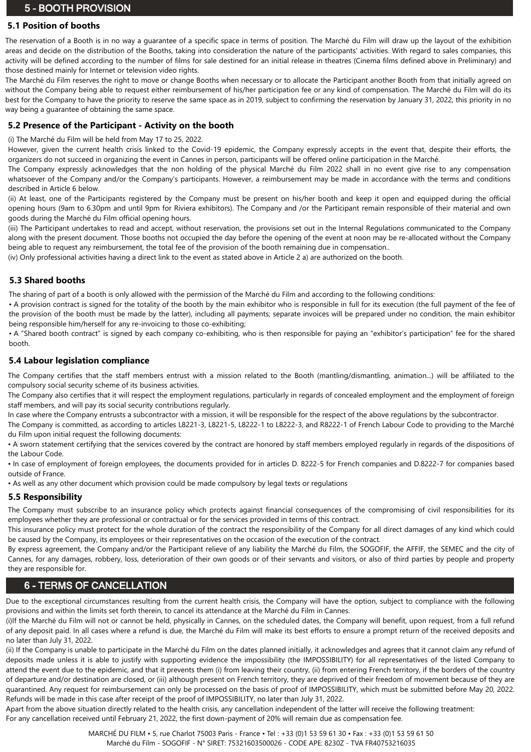# **5 - BOOTH PROVISION**

# **5.1 Position of booths**

The reservation of a Booth is in no way a guarantee of a specific space in terms of position. The Marché du Film will draw up the layout of the exhibition areas and decide on the distribution of the Booths, taking into consideration the nature of the participants' activities. With regard to sales companies, this activity will be defined according to the number of films for sale destined for an initial release in theatres (Cinema films defined above in Preliminary) and those destined mainly for Internet or television video rights.

The Marché du Film reserves the right to move or change Booths when necessary or to allocate the Participant another Booth from that initially agreed on without the Company being able to request either reimbursement of his/her participation fee or any kind of compensation. The Marché du Film will do its best for the Company to have the priority to reserve the same space as in 2019, subject to confirming the reservation by January 31, 2022, this priority in no way being a guarantee of obtaining the same space.

### **5.2 Presence of the Participant - Activity on the booth**

#### (i) The Marché du Film will be held from May 17 to 25, 2022.

However, given the current health crisis linked to the Covid-19 epidemic, the Company expressly accepts in the event that, despite their efforts, the organizers do not succeed in organizing the event in Cannes in person, participants will be offered online participation in the Marché.

The Company expressly acknowledges that the non holding of the physical Marché du Film 2022 shall in no event give rise to any compensation whatsoever of the Company and/or the Company's participants. However, a reimbursement may be made in accordance with the terms and conditions described in Article 6 below.

(ii) At least, one of the Participants registered by the Company must be present on his/her booth and keep it open and equipped during the official opening hours (9am to 6.30pm and until 9pm for Riviera exhibitors). The Company and /or the Participant remain responsible of their material and own goods during the Marché du Film official opening hours.

(iii) The Participant undertakes to read and accept, without reservation, the provisions set out in the Internal Regulations communicated to the Company along with the present document. Those booths not occupied the day before the opening of the event at noon may be re-allocated without the Company being able to request any reimbursement, the total fee of the provision of the booth remaining due in compensation..

(iv) Only professional activities having a direct link to the event as stated above in Article 2 a) are authorized on the booth.

### **5.3 Shared booths**

The sharing of part of a booth is only allowed with the permission of the Marché du Film and according to the following conditions:

• A provision contract is signed for the totality of the booth by the main exhibitor who is responsible in full for its execution (the full payment of the fee of the provision of the booth must be made by the latter), including all payments; separate invoices will be prepared under no condition, the main exhibitor being responsible him/herself for any re-invoicing to those co-exhibiting;

• A "Shared booth contract" is signed by each company co-exhibiting, who is then responsible for paying an "exhibitor's participation" fee for the shared booth.

#### **5.4 Labour legislation compliance**

The Company certifies that the staff members entrust with a mission related to the Booth (mantling/dismantling, animation...) will be affiliated to the compulsory social security scheme of its business activities.

The Company also certifies that it will respect the employment regulations, particularly in regards of concealed employment and the employment of foreign staff members, and will pay its social security contributions regularly.

In case where the Company entrusts a subcontractor with a mission, it will be responsible for the respect of the above regulations by the subcontractor.

The Company is committed, as according to articles L8221-3, L8221-5, L8222-1 to L8222-3, and R8222-1 of French Labour Code to providing to the Marché du Film upon initial request the following documents:

• A sworn statement certifying that the services covered by the contract are honored by staff members employed regularly in regards of the dispositions of the Labour Code.

• In case of employment of foreign employees, the documents provided for in articles D. 8222-5 for French companies and D.8222-7 for companies based outside of France.

• As well as any other document which provision could be made compulsory by legal texts or regulations

#### **5.5 Responsibility**

The Company must subscribe to an insurance policy which protects against financial consequences of the compromising of civil responsibilities for its employees whether they are professional or contractual or for the services provided in terms of this contract.

This insurance policy must protect for the whole duration of the contract the responsibility of the Company for all direct damages of any kind which could be caused by the Company, its employees or their representatives on the occasion of the execution of the contract.

By express agreement, the Company and/or the Participant relieve of any liability the Marché du Film, the SOGOFIF, the AFFIF, the SEMEC and the city of Cannes, for any damages, robbery, loss, deterioration of their own goods or of their servants and visitors, or also of third parties by people and property they are responsible for.

# **6 - TERMS OF CANCELLATION**

Due to the exceptional circumstances resulting from the current health crisis, the Company will have the option, subject to compliance with the following provisions and within the limits set forth therein, to cancel its attendance at the Marché du Film in Cannes.

(i)If the Marché du Film will not or cannot be held, physically in Cannes, on the scheduled dates, the Company will benefit, upon request, from a full refund of any deposit paid. In all cases where a refund is due, the Marché du Film will make its best efforts to ensure a prompt return of the received deposits and no later than July 31, 2022.

(ii) If the Company is unable to participate in the Marché du Film on the dates planned initially, it acknowledges and agrees that it cannot claim any refund of deposits made unless it is able to justify with supporting evidence the impossibility (the IMPOSSIBILITY) for all representatives of the listed Company to attend the event due to the epidemic, and that it prevents them (i) from leaving their country, (ii) from entering French territory, if the borders of the country of departure and/or destination are closed, or (iii) although present on French territory, they are deprived of their freedom of movement because of they are quarantined. Any request for reimbursement can only be processed on the basis of proof of IMPOSSIBILITY, which must be submitted before May 20, 2022. Refunds will be made in this case after receipt of the proof of IMPOSSIBILITY, no later than July 31, 2022.

Apart from the above situation directly related to the health crisis, any cancellation independent of the latter will receive the following treatment: For any cancellation received until February 21, 2022, the first down-payment of 20% will remain due as compensation fee.

> MARCHÉ DU FILM • 5, rue Charlot 75003 Paris - France • Tel : +33 (0)1 53 59 61 30 • Fax : +33 (0)1 53 59 61 50 Marché du Film - SOGOFIF - N° SIRET: 75321603500026 - CODE APE: 8230Z - TVA FR40753216035